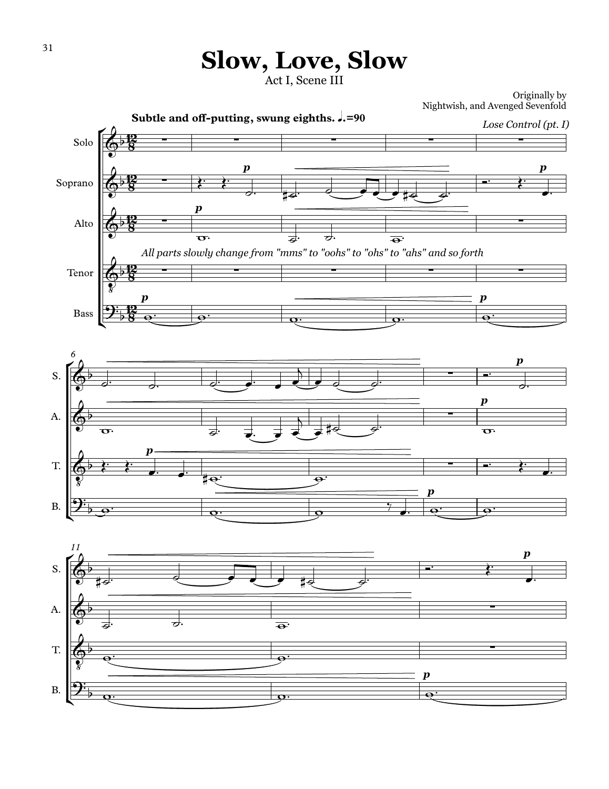## **Slow, Love, Slow**

Act I, Scene III

Originally by Nightwish, and Avenged Sevenfold

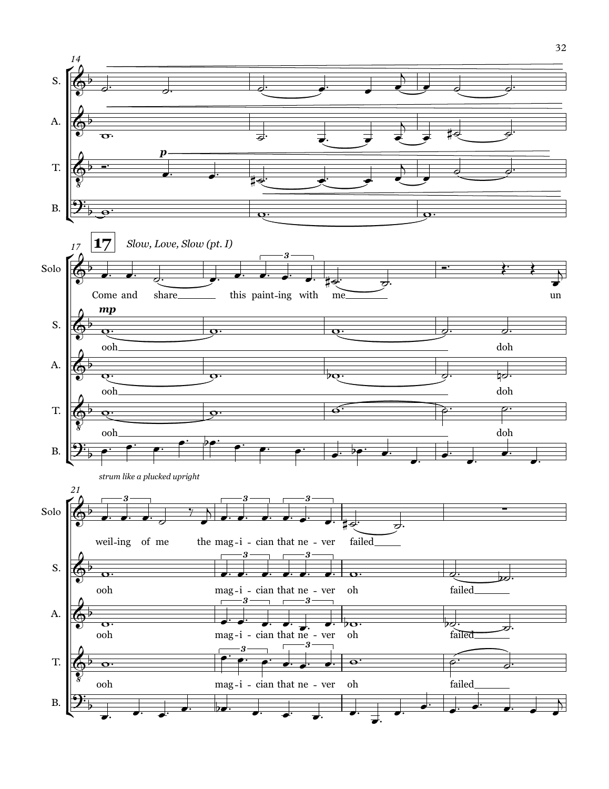

32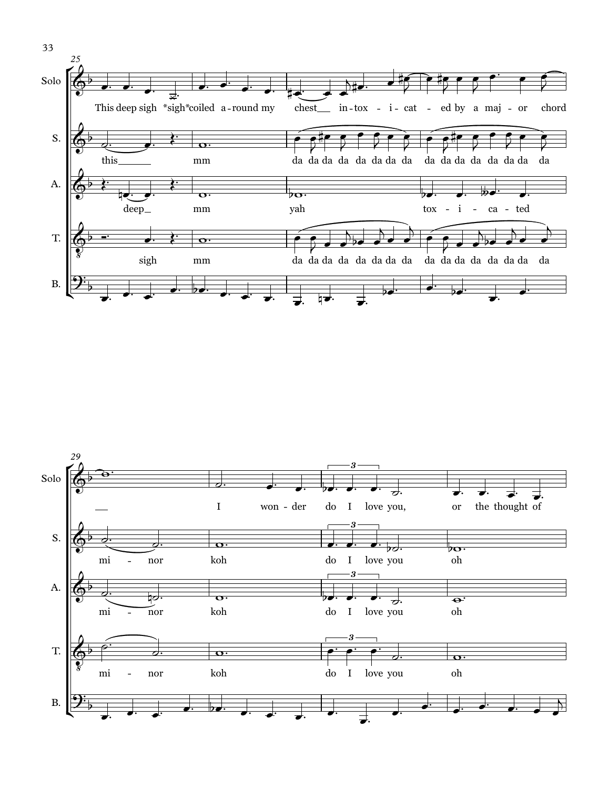

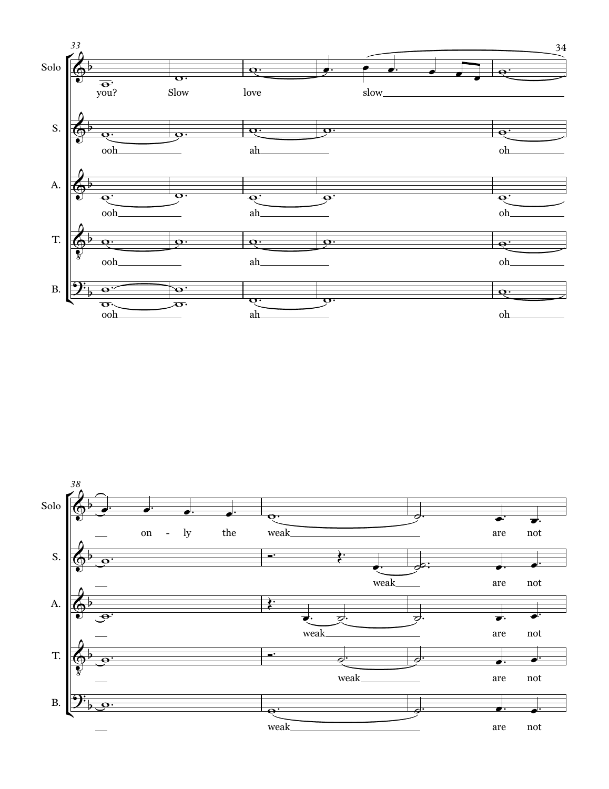

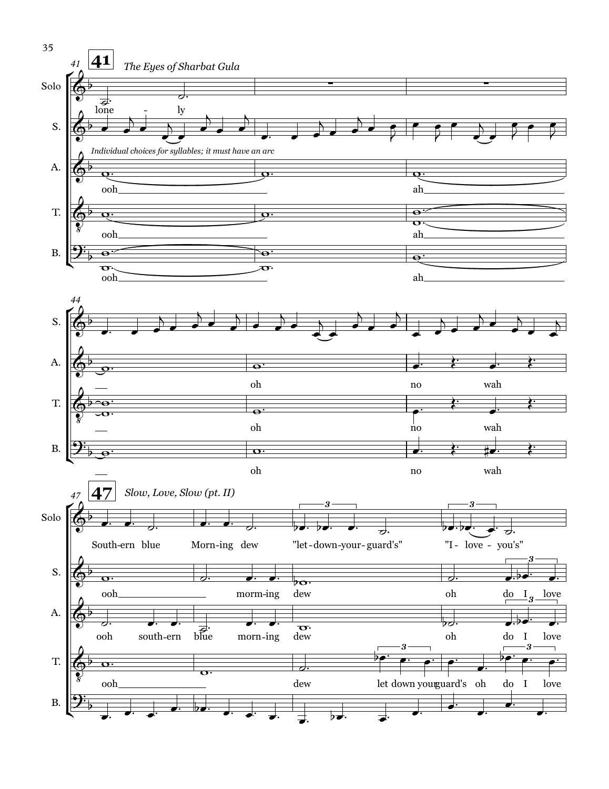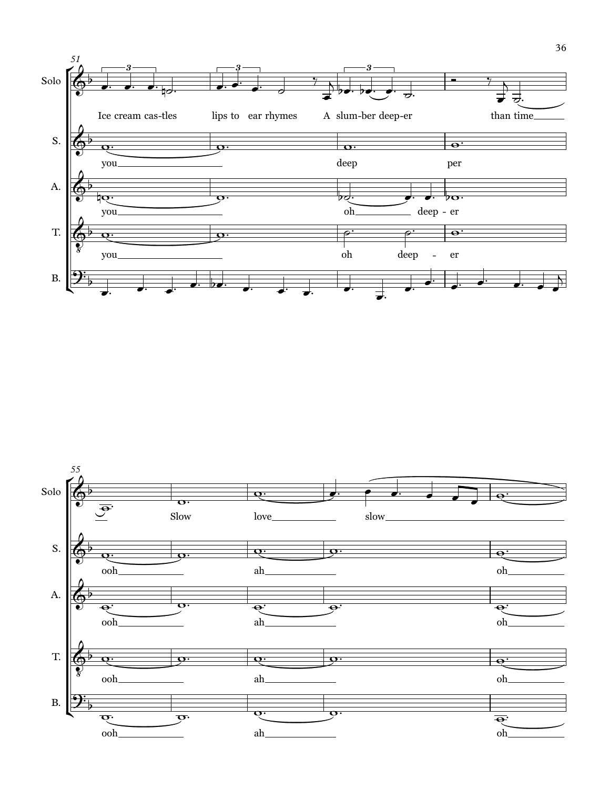

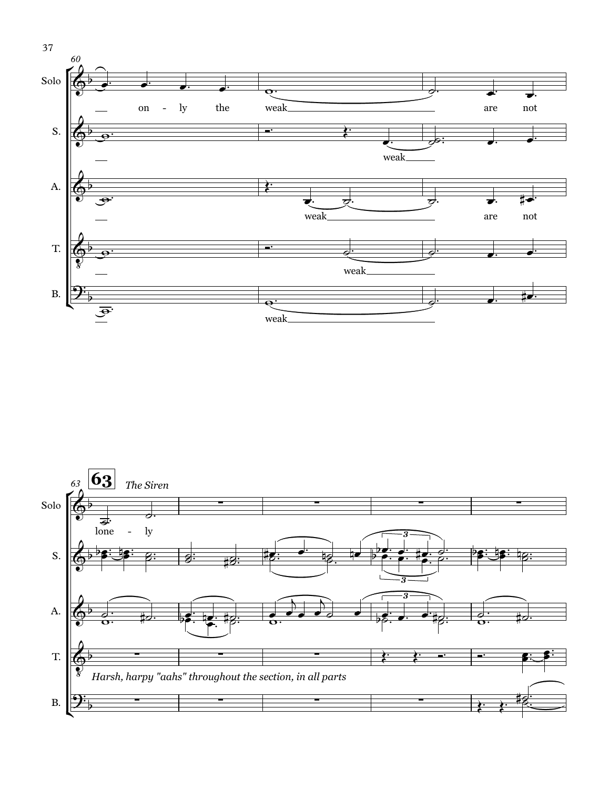

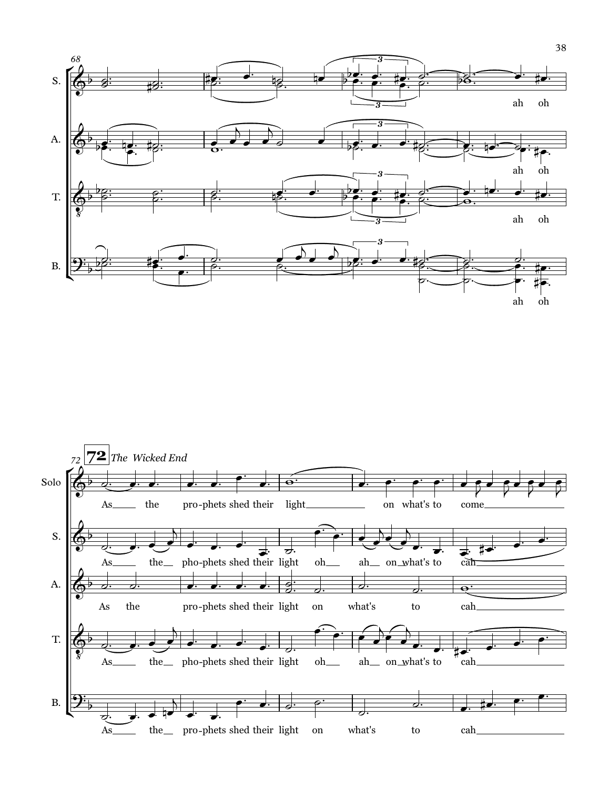



38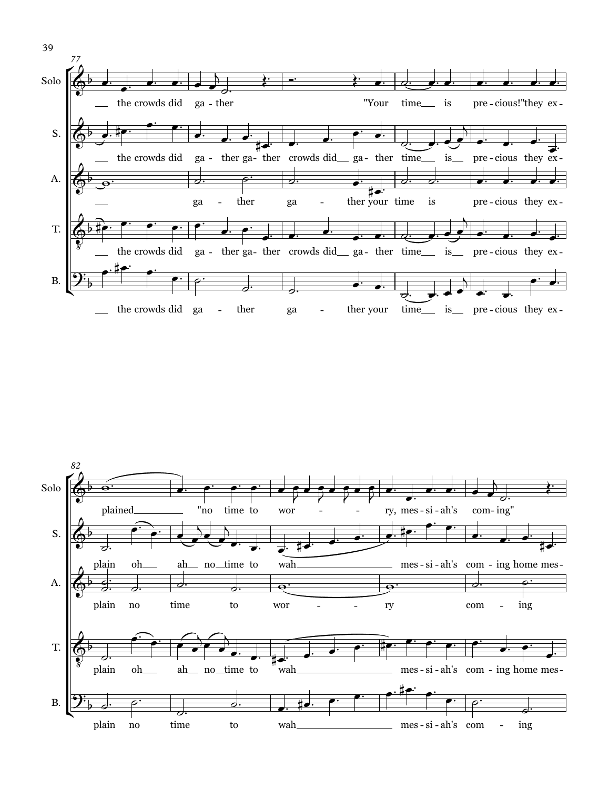

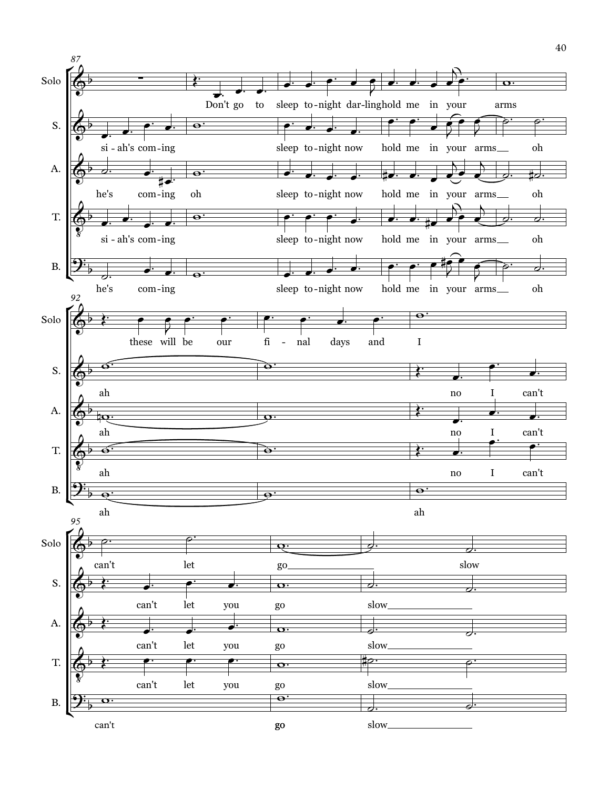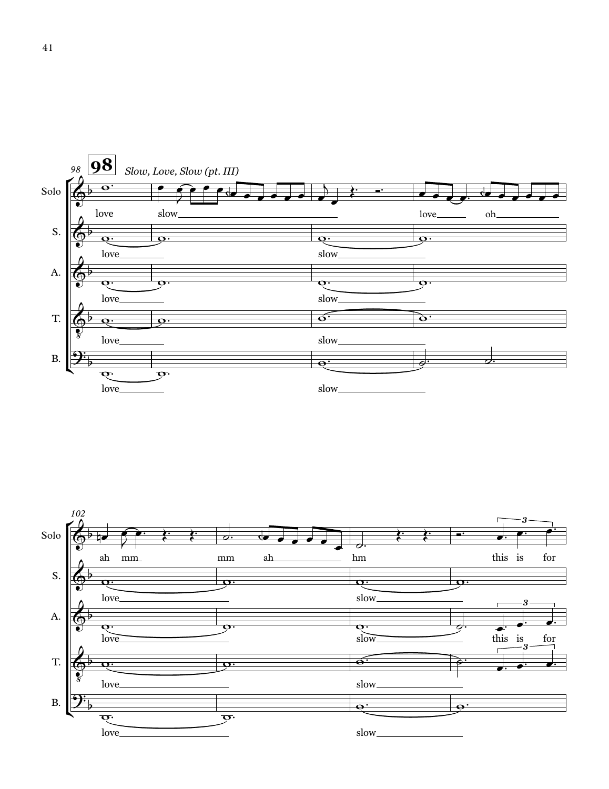

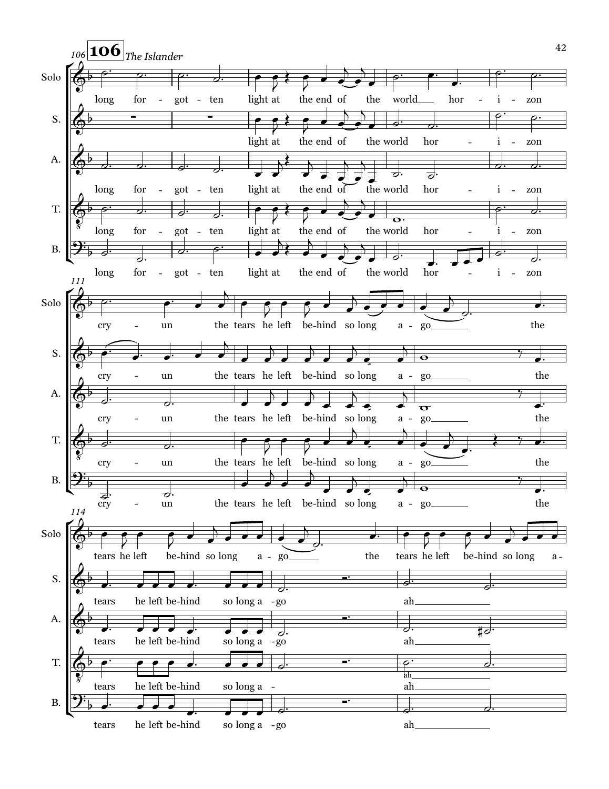![](_page_11_Figure_0.jpeg)